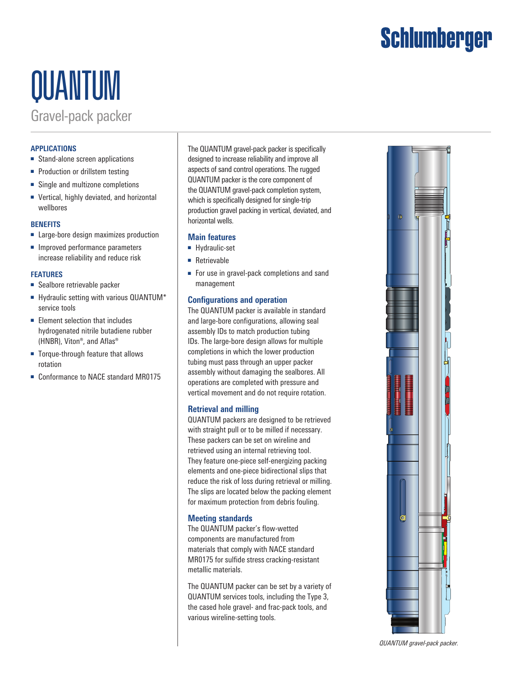# Schlumberger

# QUANTUM

Gravel-pack packer

# **APPLICATIONS**

- Stand-alone screen applications
- Production or drillstem testing
- Single and multizone completions
- Vertical, highly deviated, and horizontal wellbores

#### **BENEFITS**

- Large-bore design maximizes production
- Improved performance parameters increase reliability and reduce risk

#### **FEATURES**

- Sealbore retrievable packer
- Hydraulic setting with various QUANTUM<sup>\*</sup> service tools
- Element selection that includes hydrogenated nitrile butadiene rubber (HNBR), Viton®, and Aflas®
- Torque-through feature that allows rotation
- Conformance to NACE standard MR0175

The QUANTUM gravel-pack packer is specifically designed to increase reliability and improve all aspects of sand control operations. The rugged QUANTUM packer is the core component of the QUANTUM gravel-pack completion system, which is specifically designed for single-trip production gravel packing in vertical, deviated, and horizontal wells.

## **Main features**

- Hydraulic-set
- Retrievable
- For use in gravel-pack completions and sand management

## **Configurations and operation**

The QUANTUM packer is available in standard and large-bore configurations, allowing seal assembly IDs to match production tubing IDs. The large-bore design allows for multiple completions in which the lower production tubing must pass through an upper packer assembly without damaging the sealbores. All operations are completed with pressure and vertical movement and do not require rotation.

### **Retrieval and milling**

QUANTUM packers are designed to be retrieved with straight pull or to be milled if necessary. These packers can be set on wireline and retrieved using an internal retrieving tool. They feature one-piece self-energizing packing elements and one-piece bidirectional slips that reduce the risk of loss during retrieval or milling. The slips are located below the packing element for maximum protection from debris fouling.

### **Meeting standards**

The QUANTUM packer's flow-wetted components are manufactured from materials that comply with NACE standard MR0175 for sulfide stress cracking-resistant metallic materials.

The QUANTUM packer can be set by a variety of QUANTUM services tools, including the Type 3, the cased hole gravel- and frac-pack tools, and various wireline-setting tools.